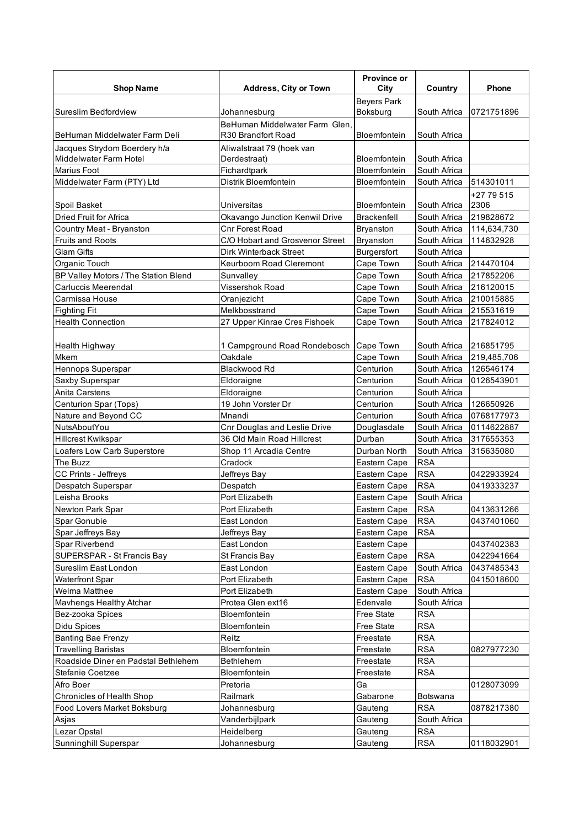|                                      |                                 | <b>Province or</b>  |              |              |
|--------------------------------------|---------------------------------|---------------------|--------------|--------------|
| <b>Shop Name</b>                     | <b>Address, City or Town</b>    | City                | Country      | <b>Phone</b> |
|                                      |                                 | <b>Beyers Park</b>  |              |              |
| Sureslim Bedfordview                 | Johannesburg                    | Boksburg            | South Africa | 0721751896   |
|                                      | BeHuman Middelwater Farm Glen.  |                     |              |              |
| BeHuman Middelwater Farm Deli        | R30 Brandfort Road              | Bloemfontein        | South Africa |              |
| Jacques Strydom Boerdery h/a         | Aliwalstraat 79 (hoek van       |                     |              |              |
| Middelwater Farm Hotel               | Derdestraat)                    | Bloemfontein        | South Africa |              |
| <b>Marius Foot</b>                   | Fichardtpark                    | Bloemfontein        | South Africa |              |
| Middelwater Farm (PTY) Ltd           | Distrik Bloemfontein            | Bloemfontein        | South Africa | 514301011    |
|                                      |                                 |                     |              | +27 79 515   |
| Spoil Basket                         | Universitas                     | <b>Bloemfontein</b> | South Africa | 2306         |
| Dried Fruit for Africa               | Okavango Junction Kenwil Drive  | Brackenfell         | South Africa | 219828672    |
| Country Meat - Bryanston             | <b>Cnr Forest Road</b>          | <b>Bryanston</b>    | South Africa | 114,634,730  |
| <b>Fruits and Roots</b>              | C/O Hobart and Grosvenor Street | <b>Bryanston</b>    | South Africa | 114632928    |
| <b>Glam Gifts</b>                    | Dirk Winterback Street          | Burgersfort         | South Africa |              |
| Organic Touch                        | Keurboom Road Cleremont         | Cape Town           | South Africa | 214470104    |
| BP Valley Motors / The Station Blend | Sunvalley                       | Cape Town           | South Africa | 217852206    |
| <b>Carluccis Meerendal</b>           | Vissershok Road                 | Cape Town           | South Africa | 216120015    |
| Carmissa House                       | Oranjezicht                     | Cape Town           | South Africa | 210015885    |
| <b>Fighting Fit</b>                  | Melkbosstrand                   | Cape Town           | South Africa | 215531619    |
| <b>Health Connection</b>             | 27 Upper Kinrae Cres Fishoek    | Cape Town           | South Africa | 217824012    |
|                                      |                                 |                     |              |              |
| <b>Health Highway</b>                | 1 Campground Road Rondebosch    | Cape Town           | South Africa | 216851795    |
| Mkem                                 | Oakdale                         | Cape Town           | South Africa | 219,485,706  |
| Hennops Superspar                    | Blackwood Rd                    | Centurion           | South Africa | 126546174    |
| Saxby Superspar                      | Eldoraigne                      | Centurion           | South Africa | 0126543901   |
| Anita Carstens                       | Eldoraigne                      | Centurion           | South Africa |              |
| Centurion Spar (Tops)                | 19 John Vorster Dr              | Centurion           | South Africa | 126650926    |
| Nature and Beyond CC                 | Mnandi                          | Centurion           | South Africa | 0768177973   |
| NutsAboutYou                         | Cnr Douglas and Leslie Drive    | Douglasdale         | South Africa | 0114622887   |
| <b>Hillcrest Kwikspar</b>            | 36 Old Main Road Hillcrest      | Durban              | South Africa | 317655353    |
| Loafers Low Carb Superstore          | Shop 11 Arcadia Centre          | Durban North        | South Africa | 315635080    |
| The Buzz                             | Cradock                         | Eastern Cape        | <b>RSA</b>   |              |
| CC Prints - Jeffreys                 | Jeffreys Bay                    | Eastern Cape        | <b>RSA</b>   | 0422933924   |
| Despatch Superspar                   | Despatch                        | Eastern Cape        | <b>RSA</b>   | 0419333237   |
| Leisha Brooks                        | Port Elizabeth                  | Eastern Cape        | South Africa |              |
| Newton Park Spar                     | Port Elizabeth                  | Eastern Cape        | <b>RSA</b>   | 0413631266   |
| Spar Gonubie                         | East London                     | Eastern Cape        | <b>RSA</b>   | 0437401060   |
| Spar Jeffreys Bay                    | Jeffreys Bay                    | Eastern Cape        | <b>RSA</b>   |              |
| Spar Riverbend                       | East London                     | Eastern Cape        |              | 0437402383   |
| SUPERSPAR - St Francis Bay           | St Francis Bay                  | Eastern Cape        | <b>RSA</b>   | 0422941664   |
| Sureslim East London                 | East London                     | Eastern Cape        | South Africa | 0437485343   |
| <b>Waterfront Spar</b>               | Port Elizabeth                  | Eastern Cape        | <b>RSA</b>   | 0415018600   |
| Welma Matthee                        | Port Elizabeth                  | Eastern Cape        | South Africa |              |
| Mavhengs Healthy Atchar              | Protea Glen ext16               | Edenvale            | South Africa |              |
| Bez-zooka Spices                     | Bloemfontein                    | Free State          | <b>RSA</b>   |              |
| Didu Spices                          | Bloemfontein                    | Free State          | <b>RSA</b>   |              |
| <b>Banting Bae Frenzy</b>            | Reitz                           | Freestate           | <b>RSA</b>   |              |
| <b>Travelling Baristas</b>           | Bloemfontein                    | Freestate           | <b>RSA</b>   | 0827977230   |
| Roadside Diner en Padstal Bethlehem  | Bethlehem                       | Freestate           | <b>RSA</b>   |              |
| Stefanie Coetzee                     | Bloemfontein                    | Freestate           | <b>RSA</b>   |              |
| Afro Boer                            | Pretoria                        | Ga                  |              | 0128073099   |
| Chronicles of Health Shop            | Railmark                        | Gabarone            | Botswana     |              |
| Food Lovers Market Boksburg          | Johannesburg                    | Gauteng             | <b>RSA</b>   | 0878217380   |
| Asjas                                | Vanderbijlpark                  | Gauteng             | South Africa |              |
| Lezar Opstal                         | Heidelberg                      | Gauteng             | <b>RSA</b>   |              |
| Sunninghill Superspar                | Johannesburg                    | Gauteng             | <b>RSA</b>   | 0118032901   |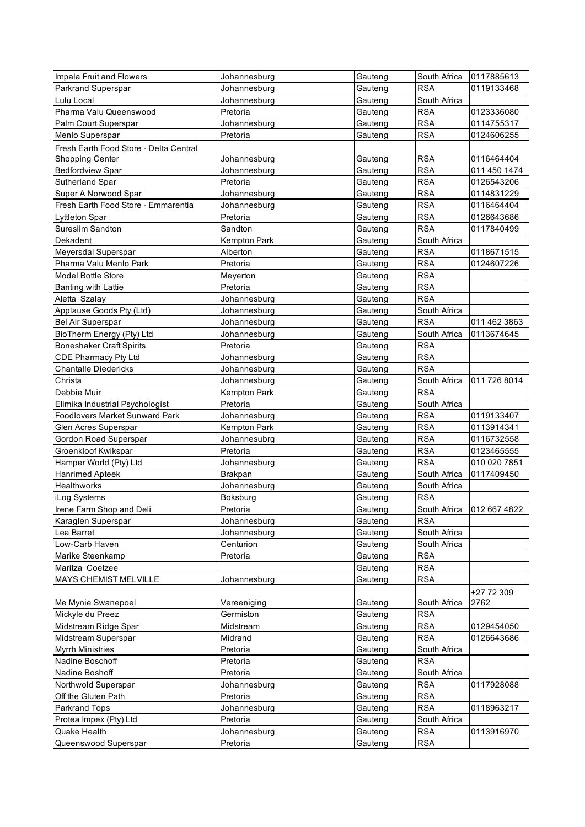| Impala Fruit and Flowers               | Johannesburg        | Gauteng | South Africa | 0117885613                 |
|----------------------------------------|---------------------|---------|--------------|----------------------------|
| <b>Parkrand Superspar</b>              | Johannesburg        | Gauteng | <b>RSA</b>   | 0119133468                 |
| Lulu Local                             | Johannesburg        | Gauteng | South Africa |                            |
| Pharma Valu Queenswood                 | Pretoria            | Gauteng | <b>RSA</b>   | 0123336080                 |
| Palm Court Superspar                   | Johannesburg        | Gauteng | <b>RSA</b>   | 0114755317                 |
| Menlo Superspar                        | Pretoria            | Gauteng | <b>RSA</b>   | 0124606255                 |
| Fresh Earth Food Store - Delta Central |                     |         |              |                            |
| <b>Shopping Center</b>                 | Johannesburg        | Gauteng | <b>RSA</b>   | 0116464404                 |
| <b>Bedfordview Spar</b>                | Johannesburg        | Gauteng | <b>RSA</b>   | 011 450 1474               |
| Sutherland Spar                        | Pretoria            | Gauteng | <b>RSA</b>   | 0126543206                 |
| Super A Norwood Spar                   | Johannesburg        | Gauteng | <b>RSA</b>   | 0114831229                 |
| Fresh Earth Food Store - Emmarentia    | Johannesburg        | Gauteng | <b>RSA</b>   | 0116464404                 |
| <b>Lyttleton Spar</b>                  | Pretoria            | Gauteng | <b>RSA</b>   | 0126643686                 |
| Sureslim Sandton                       | Sandton             | Gauteng | <b>RSA</b>   | 0117840499                 |
| Dekadent                               | <b>Kempton Park</b> | Gauteng | South Africa |                            |
| Meyersdal Superspar                    | Alberton            | Gauteng | <b>RSA</b>   | 0118671515                 |
| Pharma Valu Menlo Park                 | Pretoria            | Gauteng | <b>RSA</b>   | 0124607226                 |
| <b>Model Bottle Store</b>              | Meyerton            | Gauteng | <b>RSA</b>   |                            |
| Banting with Lattie                    | Pretoria            | Gauteng | <b>RSA</b>   |                            |
| Aletta Szalay                          | Johannesburg        | Gauteng | <b>RSA</b>   |                            |
| Applause Goods Pty (Ltd)               | Johannesburg        | Gauteng | South Africa |                            |
| Bel Air Superspar                      | Johannesburg        | Gauteng | <b>RSA</b>   | 011 462 3863               |
| BioTherm Energy (Pty) Ltd              | Johannesburg        | Gauteng | South Africa | 0113674645                 |
| <b>Boneshaker Craft Spirits</b>        | Pretoria            | Gauteng | <b>RSA</b>   |                            |
| CDE Pharmacy Pty Ltd                   | Johannesburg        | Gauteng | <b>RSA</b>   |                            |
| <b>Chantalle Diedericks</b>            | Johannesburg        | Gauteng | <b>RSA</b>   |                            |
| Christa                                | Johannesburg        | Gauteng | South Africa | 011 726 8014               |
| Debbie Muir                            | Kempton Park        | Gauteng | <b>RSA</b>   |                            |
| Elimika Industrial Psychologist        | Pretoria            | Gauteng | South Africa |                            |
| Foodlovers Market Sunward Park         | Johannesburg        | Gauteng | <b>RSA</b>   | 0119133407                 |
| Glen Acres Superspar                   | Kempton Park        | Gauteng | <b>RSA</b>   | 0113914341                 |
| Gordon Road Superspar                  | Johannesubrg        | Gauteng | <b>RSA</b>   | 0116732558                 |
| Groenkloof Kwikspar                    | Pretoria            | Gauteng | <b>RSA</b>   | 0123465555                 |
| Hamper World (Pty) Ltd                 | Johannesburg        | Gauteng | <b>RSA</b>   | 010 020 7851               |
| <b>Hanrimed Apteek</b>                 | <b>Brakpan</b>      | Gauteng | South Africa | 0117409450                 |
| <b>Healthworks</b>                     | Johannesburg        | Gauteng | South Africa |                            |
| iLog Systems                           | Boksburg            | Gauteng | <b>RSA</b>   |                            |
| Irene Farm Shop and Deli               | Pretoria            | Gauteng |              | South Africa 1012 667 4822 |
| Karaglen Superspar                     | Johannesburg        | Gauteng | <b>RSA</b>   |                            |
| Lea Barret                             | Johannesburg        | Gauteng | South Africa |                            |
| Low-Carb Haven                         | Centurion           | Gauteng | South Africa |                            |
| Marike Steenkamp                       | Pretoria            | Gauteng | <b>RSA</b>   |                            |
| Maritza Coetzee                        |                     | Gauteng | <b>RSA</b>   |                            |
| MAYS CHEMIST MELVILLE                  | Johannesburg        | Gauteng | <b>RSA</b>   |                            |
|                                        |                     |         |              | +27 72 309                 |
| Me Mynie Swanepoel                     | Vereeniging         | Gauteng | South Africa | 2762                       |
| Mickyle du Preez                       | Germiston           | Gauteng | <b>RSA</b>   |                            |
| Midstream Ridge Spar                   | Midstream           | Gauteng | <b>RSA</b>   | 0129454050                 |
| Midstream Superspar                    | Midrand             | Gauteng | <b>RSA</b>   | 0126643686                 |
| <b>Myrrh Ministries</b>                | Pretoria            | Gauteng | South Africa |                            |
| Nadine Boschoff                        | Pretoria            | Gauteng | <b>RSA</b>   |                            |
| Nadine Boshoff                         | Pretoria            | Gauteng | South Africa |                            |
| Northwold Superspar                    | Johannesburg        | Gauteng | <b>RSA</b>   | 0117928088                 |
| Off the Gluten Path                    | Pretoria            | Gauteng | <b>RSA</b>   |                            |
| Parkrand Tops                          | Johannesburg        | Gauteng | <b>RSA</b>   | 0118963217                 |
| Protea Impex (Pty) Ltd                 | Pretoria            | Gauteng | South Africa |                            |
| Quake Health                           | Johannesburg        | Gauteng | <b>RSA</b>   | 0113916970                 |
| Queenswood Superspar                   | Pretoria            | Gauteng | <b>RSA</b>   |                            |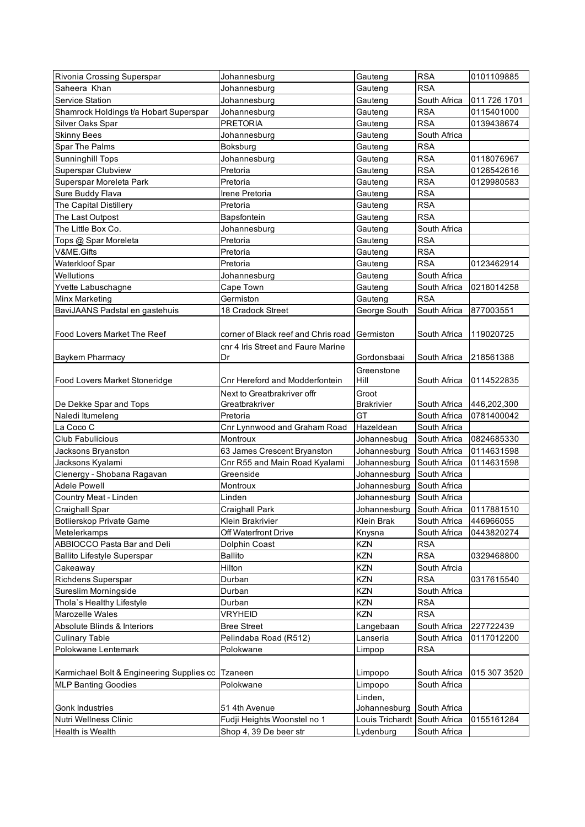| Rivonia Crossing Superspar                | Johannesburg                                    | Gauteng                              | <b>RSA</b>   | 0101109885   |
|-------------------------------------------|-------------------------------------------------|--------------------------------------|--------------|--------------|
| Saheera Khan                              | Johannesburg                                    | Gauteng                              | <b>RSA</b>   |              |
| Service Station                           | Johannesburg                                    | Gauteng                              | South Africa | 011 726 1701 |
| Shamrock Holdings t/a Hobart Superspar    | Johannesburg                                    | Gauteng                              | <b>RSA</b>   | 0115401000   |
| Silver Oaks Spar                          | <b>PRETORIA</b>                                 | Gauteng                              | <b>RSA</b>   | 0139438674   |
| <b>Skinny Bees</b>                        | Johannesburg                                    | Gauteng                              | South Africa |              |
| Spar The Palms                            | Boksburg                                        | Gauteng                              | <b>RSA</b>   |              |
| Sunninghill Tops                          | Johannesburg                                    | Gauteng                              | <b>RSA</b>   | 0118076967   |
| <b>Superspar Clubview</b>                 | Pretoria                                        | Gauteng                              | <b>RSA</b>   | 0126542616   |
| Superspar Moreleta Park                   | Pretoria                                        | Gauteng                              | <b>RSA</b>   | 0129980583   |
| Sure Buddy Flava                          | Irene Pretoria                                  | Gauteng                              | <b>RSA</b>   |              |
| The Capital Distillery                    | Pretoria                                        | Gauteng                              | <b>RSA</b>   |              |
| The Last Outpost                          | Bapsfontein                                     | Gauteng                              | <b>RSA</b>   |              |
| The Little Box Co.                        | Johannesburg                                    | Gauteng                              | South Africa |              |
| Tops @ Spar Moreleta                      | Pretoria                                        | Gauteng                              | <b>RSA</b>   |              |
| V&ME.Gifts                                | Pretoria                                        | Gauteng                              | <b>RSA</b>   |              |
| Waterkloof Spar                           | Pretoria                                        | Gauteng                              | <b>RSA</b>   | 0123462914   |
| Wellutions                                | Johannesburg                                    | Gauteng                              | South Africa |              |
| Yvette Labuschagne                        | Cape Town                                       | Gauteng                              | South Africa | 0218014258   |
| Minx Marketing                            | Germiston                                       | Gauteng                              | <b>RSA</b>   |              |
| BaviJAANS Padstal en gastehuis            | 18 Cradock Street                               | George South                         | South Africa | 877003551    |
|                                           |                                                 |                                      |              |              |
| Food Lovers Market The Reef               | corner of Black reef and Chris road   Germiston |                                      | South Africa | 119020725    |
|                                           | cnr 4 Iris Street and Faure Marine              |                                      |              |              |
| <b>Baykem Pharmacy</b>                    | Dr                                              | Gordonsbaai                          | South Africa | 218561388    |
|                                           |                                                 | Greenstone                           |              |              |
| Food Lovers Market Stoneridge             | Cnr Hereford and Modderfontein                  | Hill                                 | South Africa | 0114522835   |
|                                           | Next to Greatbrakriver offr                     | Groot                                |              |              |
| De Dekke Spar and Tops                    | Greatbrakriver                                  | <b>Brakrivier</b>                    | South Africa | 446,202,300  |
| Naledi Itumeleng                          | Pretoria                                        | GT                                   | South Africa | 0781400042   |
| La Coco C                                 | Cnr Lynnwood and Graham Road                    | Hazeldean                            | South Africa |              |
| <b>Club Fabulicious</b>                   | Montroux                                        | Johannesbug                          | South Africa | 0824685330   |
| Jacksons Bryanston                        | 63 James Crescent Bryanston                     | Johannesburg                         | South Africa | 0114631598   |
| Jacksons Kyalami                          | Cnr R55 and Main Road Kyalami                   | Johannesburg                         | South Africa | 0114631598   |
| Clenergy - Shobana Ragavan                | Greenside                                       | Johannesburg                         | South Africa |              |
| <b>Adele Powell</b>                       | Montroux                                        | Johannesburg                         | South Africa |              |
| Country Meat - Linden                     | Linden                                          | Johannesburg South Africa            |              |              |
| Craighall Spar                            | Craighall Park                                  | Johannesburg South Africa 0117881510 |              |              |
| Botlierskop Private Game                  | Klein Brakrivier                                | Klein Brak                           | South Africa | 446966055    |
| Metelerkamps                              | Off Waterfront Drive                            | Knysna                               | South Africa | 0443820274   |
| ABBIOCCO Pasta Bar and Deli               | Dolphin Coast                                   | KZN                                  | <b>RSA</b>   |              |
| <b>Ballito Lifestyle Superspar</b>        | Ballito                                         | KZN                                  | <b>RSA</b>   | 0329468800   |
| Cakeaway                                  | Hilton                                          | KZN                                  | South Afrcia |              |
| Richdens Superspar                        | Durban                                          | KZN                                  | <b>RSA</b>   | 0317615540   |
| Sureslim Morningside                      | Durban                                          | KZN                                  | South Africa |              |
| Thola's Healthy Lifestyle                 | Durban                                          | KZN                                  | RSA          |              |
| Marozelle Wales                           | VRYHEID                                         | KZN                                  | <b>RSA</b>   |              |
| Absolute Blinds & Interiors               | <b>Bree Street</b>                              | Langebaan                            | South Africa | 227722439    |
| <b>Culinary Table</b>                     | Pelindaba Road (R512)                           | Lanseria                             | South Africa | 0117012200   |
| Polokwane Lentemark                       | Polokwane                                       | Limpop                               | <b>RSA</b>   |              |
|                                           |                                                 |                                      |              |              |
| Karmichael Bolt & Engineering Supplies cc | Tzaneen                                         | Limpopo                              | South Africa | 015 307 3520 |
| <b>MLP Banting Goodies</b>                | Polokwane                                       | Limpopo                              | South Africa |              |
|                                           |                                                 | Linden,                              |              |              |
| <b>Gonk Industries</b>                    | 51 4th Avenue                                   | Johannesburg South Africa            |              |              |
| Nutri Wellness Clinic                     | Fudji Heights Woonstel no 1                     | Louis Trichardt South Africa         |              | 0155161284   |
| <b>Health is Wealth</b>                   | Shop 4, 39 De beer str                          | Lydenburg                            | South Africa |              |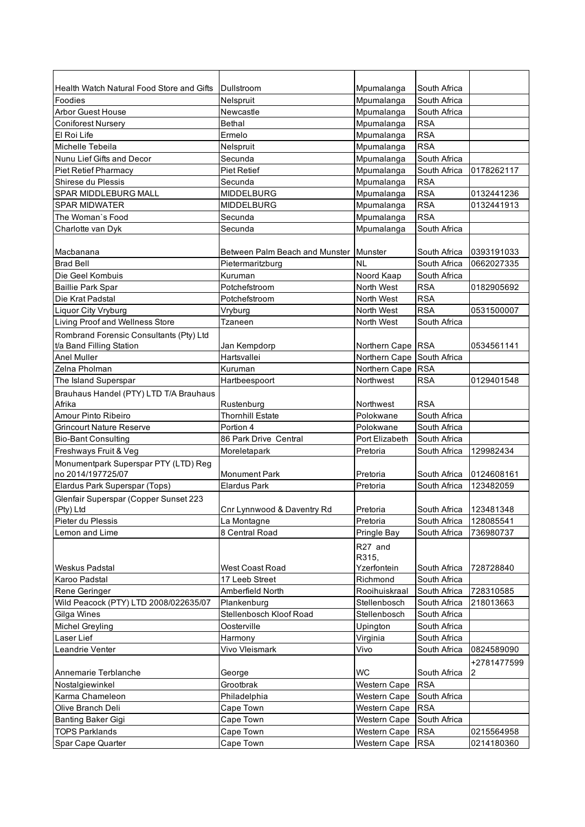| Health Watch Natural Food Store and Gifts                 | Dullstroom                     | Mpumalanga                 | South Africa |             |
|-----------------------------------------------------------|--------------------------------|----------------------------|--------------|-------------|
| Foodies                                                   | Nelspruit                      | Mpumalanga                 | South Africa |             |
| <b>Arbor Guest House</b>                                  | Newcastle                      | Mpumalanga                 | South Africa |             |
| <b>Coniforest Nursery</b>                                 | <b>Bethal</b>                  | Mpumalanga                 | <b>RSA</b>   |             |
| El Roi Life                                               | Ermelo                         | Mpumalanga                 | <b>RSA</b>   |             |
| Michelle Tebeila                                          | Nelspruit                      | Mpumalanga                 | <b>RSA</b>   |             |
| Nunu Lief Gifts and Decor                                 | Secunda                        | Mpumalanga                 | South Africa |             |
| <b>Piet Retief Pharmacy</b>                               | <b>Piet Retief</b>             | Mpumalanga                 | South Africa | 0178262117  |
| Shirese du Plessis                                        | Secunda                        | Mpumalanga                 | <b>RSA</b>   |             |
| <b>SPAR MIDDLEBURG MALL</b>                               | <b>MIDDELBURG</b>              | Mpumalanga                 | <b>RSA</b>   | 0132441236  |
| <b>SPAR MIDWATER</b>                                      | <b>MIDDELBURG</b>              | Mpumalanga                 | <b>RSA</b>   | 0132441913  |
| The Woman's Food                                          | Secunda                        | Mpumalanga                 | <b>RSA</b>   |             |
| Charlotte van Dyk                                         | Secunda                        | Mpumalanga                 | South Africa |             |
|                                                           |                                |                            |              |             |
| Macbanana                                                 | Between Palm Beach and Munster | Munster                    | South Africa | 0393191033  |
| <b>Brad Bell</b>                                          | Pietermaritzburg               | <b>NL</b>                  | South Africa | 0662027335  |
| Die Geel Kombuis                                          | Kuruman                        | Noord Kaap                 | South Africa |             |
| <b>Baillie Park Spar</b>                                  | Potchefstroom                  | North West                 | <b>RSA</b>   | 0182905692  |
| Die Krat Padstal                                          | Potchefstroom                  | North West                 | <b>RSA</b>   |             |
| <b>Liquor City Vryburg</b>                                | Vryburg                        | North West                 | <b>RSA</b>   | 0531500007  |
| Living Proof and Wellness Store                           | Tzaneen                        | North West                 | South Africa |             |
| Rombrand Forensic Consultants (Pty) Ltd                   |                                |                            |              |             |
| t/a Band Filling Station                                  | Jan Kempdorp                   | Northern Cape RSA          |              | 0534561141  |
| <b>Anel Muller</b>                                        | Hartsvallei                    | Northern Cape South Africa |              |             |
| Zelna Pholman                                             | Kuruman                        | Northern Cape RSA          |              |             |
| The Island Superspar                                      | Hartbeespoort                  | Northwest                  | <b>RSA</b>   | 0129401548  |
|                                                           |                                |                            |              |             |
| Brauhaus Handel (PTY) LTD T/A Brauhaus<br>Afrika          | Rustenburg                     | Northwest                  | <b>RSA</b>   |             |
| Amour Pinto Ribeiro                                       | <b>Thornhill Estate</b>        | Polokwane                  | South Africa |             |
| <b>Grincourt Nature Reserve</b>                           | Portion 4                      | Polokwane                  | South Africa |             |
| <b>Bio-Bant Consulting</b>                                | 86 Park Drive Central          | Port Elizabeth             | South Africa |             |
| Freshways Fruit & Veg                                     | Moreletapark                   | Pretoria                   | South Africa | 129982434   |
|                                                           |                                |                            |              |             |
| Monumentpark Superspar PTY (LTD) Reg<br>no 2014/197725/07 | <b>Monument Park</b>           | Pretoria                   | South Africa | 0124608161  |
| Elardus Park Superspar (Tops)                             | <b>Elardus Park</b>            | Pretoria                   | South Africa | 123482059   |
|                                                           |                                |                            |              |             |
| Glenfair Superspar (Copper Sunset 223<br>(Pty) Ltd        | Cnr Lynnwood & Daventry Rd     | Pretoria                   | South Africa | 123481348   |
| Pieter du Plessis                                         |                                | Pretoria                   | South Africa | 128085541   |
| Lemon and Lime                                            | La Montagne<br>8 Central Road  |                            | South Africa | 736980737   |
|                                                           |                                | Pringle Bay                |              |             |
|                                                           |                                | R27 and                    |              |             |
|                                                           |                                | R315,                      |              |             |
| Weskus Padstal                                            | <b>West Coast Road</b>         | Yzerfontein                | South Africa | 728728840   |
| Karoo Padstal                                             | 17 Leeb Street                 | Richmond                   | South Africa |             |
| Rene Geringer                                             | Amberfield North               | Rooihuiskraal              | South Africa | 728310585   |
| Wild Peacock (PTY) LTD 2008/022635/07                     | Plankenburg                    | Stellenbosch               | South Africa | 218013663   |
| Gilga Wines                                               | Stellenbosch Kloof Road        | Stellenbosch               | South Africa |             |
| <b>Michel Greyling</b>                                    | Oosterville                    | Upington                   | South Africa |             |
| Laser Lief                                                | Harmony                        | Virginia                   | South Africa |             |
| Leandrie Venter                                           | Vivo Vleismark                 | Vivo                       | South Africa | 0824589090  |
|                                                           |                                |                            |              | +2781477599 |
| Annemarie Terblanche                                      | George                         | <b>WC</b>                  | South Africa | 2           |
| Nostalgiewinkel                                           | Grootbrak                      | Western Cape               | <b>RSA</b>   |             |
| Karma Chameleon                                           | Philadelphia                   | Western Cape               | South Africa |             |
| Olive Branch Deli                                         | Cape Town                      | Western Cape               | <b>RSA</b>   |             |
| <b>Banting Baker Gigi</b>                                 | Cape Town                      | Western Cape               | South Africa |             |
| <b>TOPS Parklands</b>                                     | Cape Town                      | Western Cape               | <b>RSA</b>   | 0215564958  |
| Spar Cape Quarter                                         | Cape Town                      | Western Cape               | <b>RSA</b>   | 0214180360  |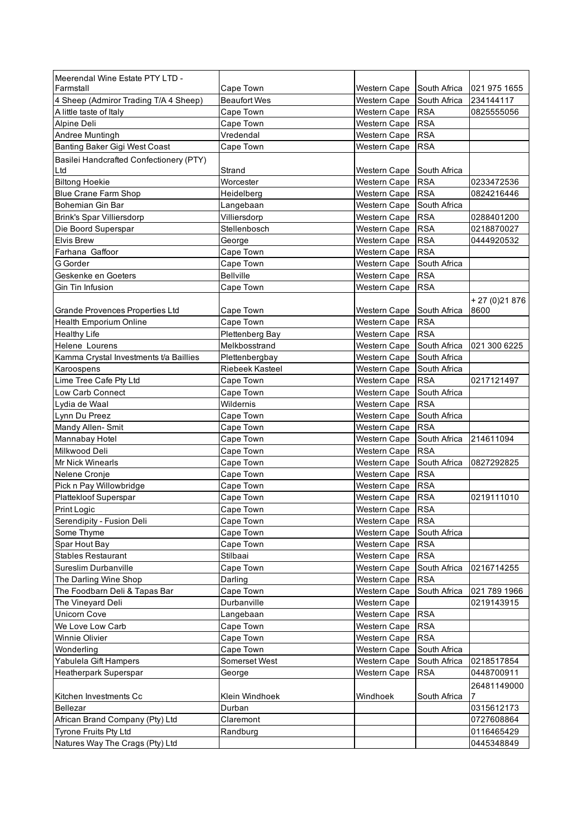| Meerendal Wine Estate PTY LTD -          |                        |                     |              |               |
|------------------------------------------|------------------------|---------------------|--------------|---------------|
| Farmstall                                | Cape Town              | Western Cape        | South Africa | 021 975 1655  |
| 4 Sheep (Admiror Trading T/A 4 Sheep)    | <b>Beaufort Wes</b>    | Western Cape        | South Africa | 234144117     |
| A little taste of Italy                  | Cape Town              | Western Cape        | <b>RSA</b>   | 0825555056    |
| Alpine Deli                              | Cape Town              | Western Cape        | <b>RSA</b>   |               |
| Andree Muntingh                          | Vredendal              | Western Cape        | <b>RSA</b>   |               |
| Banting Baker Gigi West Coast            | Cape Town              | Western Cape        | <b>RSA</b>   |               |
| Basilei Handcrafted Confectionery (PTY)  |                        |                     |              |               |
| Ltd                                      | Strand                 | Western Cape        | South Africa |               |
| <b>Biltong Hoekie</b>                    | Worcester              | Western Cape        | <b>RSA</b>   | 0233472536    |
| <b>Blue Crane Farm Shop</b>              | Heidelberg             | Western Cape        | <b>RSA</b>   | 0824216446    |
| Bohemian Gin Bar                         | Langebaan              | Western Cape        | South Africa |               |
| <b>Brink's Spar Villiersdorp</b>         | Villiersdorp           | Western Cape        | <b>RSA</b>   | 0288401200    |
| Die Boord Superspar                      | Stellenbosch           | Western Cape        | <b>RSA</b>   | 0218870027    |
| <b>Elvis Brew</b>                        | George                 | Western Cape        | <b>RSA</b>   | 0444920532    |
| Farhana Gaffoor                          | Cape Town              | Western Cape        | <b>RSA</b>   |               |
| G Gorder                                 | Cape Town              | Western Cape        | South Africa |               |
| Geskenke en Goeters                      | <b>Bellville</b>       | Western Cape        | <b>RSA</b>   |               |
| Gin Tin Infusion                         | Cape Town              | Western Cape        | <b>RSA</b>   |               |
|                                          |                        |                     |              | $+27(0)21876$ |
| Grande Provences Properties Ltd          | Cape Town              | Western Cape        | South Africa | 8600          |
| <b>Health Emporium Online</b>            | Cape Town              | Western Cape        | <b>RSA</b>   |               |
| <b>Healthy Life</b>                      | Plettenberg Bay        | Western Cape        | <b>RSA</b>   |               |
| Helene Lourens                           | Melkbosstrand          | Western Cape        | South Africa | 021 300 6225  |
| Kamma Crystal Investments t/a Baillies   | Plettenbergbay         | Western Cape        | South Africa |               |
| Karoospens                               | Riebeek Kasteel        | Western Cape        | South Africa |               |
| Lime Tree Cafe Pty Ltd                   | Cape Town              | Western Cape        | <b>RSA</b>   | 0217121497    |
| Low Carb Connect                         | Cape Town              | Western Cape        | South Africa |               |
| Lydia de Waal                            | Wildernis              | <b>Western Cape</b> | <b>RSA</b>   |               |
| Lynn Du Preez                            | Cape Town              | <b>Western Cape</b> | South Africa |               |
| Mandy Allen-Smit                         | Cape Town              | Western Cape        | <b>RSA</b>   |               |
| Mannabay Hotel                           | Cape Town              | Western Cape        | South Africa | 214611094     |
| Milkwood Deli                            | Cape Town              | Western Cape        | <b>RSA</b>   |               |
| Mr Nick Winearls                         | Cape Town              | Western Cape        | South Africa | 0827292825    |
| Nelene Cronje                            | Cape Town              | Western Cape        | <b>RSA</b>   |               |
| Pick n Pay Willowbridge                  | Cape Town              | Western Cape        | <b>RSA</b>   |               |
| Plattekloof Superspar                    | Cape Town              | Western Cape        | <b>RSA</b>   | 0219111010    |
| <b>Print Logic</b>                       | Cape Town              | Western Cape        | <b>RSA</b>   |               |
| Serendipity - Fusion Deli                | Cape Town              | Western Cape        | <b>RSA</b>   |               |
| Some Thyme                               | Cape Town              | Western Cape        | South Africa |               |
| Spar Hout Bay                            | Cape Town              | Western Cape        | <b>RSA</b>   |               |
| <b>Stables Restaurant</b>                | Stilbaai               | Western Cape        | <b>RSA</b>   |               |
| Sureslim Durbanville                     | Cape Town              | Western Cape        | South Africa | 0216714255    |
| The Darling Wine Shop                    | Darling                | Western Cape        | <b>RSA</b>   |               |
| The Foodbarn Deli & Tapas Bar            | Cape Town              | Western Cape        | South Africa | 021 789 1966  |
|                                          | Durbanville            |                     |              | 0219143915    |
| The Vineyard Deli<br><b>Unicorn Cove</b> |                        | Western Cape        | <b>RSA</b>   |               |
|                                          | Langebaan<br>Cape Town | Western Cape        |              |               |
| We Love Low Carb                         |                        | Western Cape        | <b>RSA</b>   |               |
| Winnie Olivier                           | Cape Town              | Western Cape        | <b>RSA</b>   |               |
| Wonderling                               | Cape Town              | Western Cape        | South Africa |               |
| Yabulela Gift Hampers                    | Somerset West          | Western Cape        | South Africa | 0218517854    |
| <b>Heatherpark Superspar</b>             | George                 | <b>Western Cape</b> | <b>RSA</b>   | 0448700911    |
|                                          |                        |                     |              | 26481149000   |
| Kitchen Investments Cc                   | Klein Windhoek         | Windhoek            | South Africa | 7             |
| <b>Bellezar</b>                          | Durban                 |                     |              | 0315612173    |
| African Brand Company (Pty) Ltd          | Claremont              |                     |              | 0727608864    |
| Tyrone Fruits Pty Ltd                    | Randburg               |                     |              | 0116465429    |
| Natures Way The Crags (Pty) Ltd          |                        |                     |              | 0445348849    |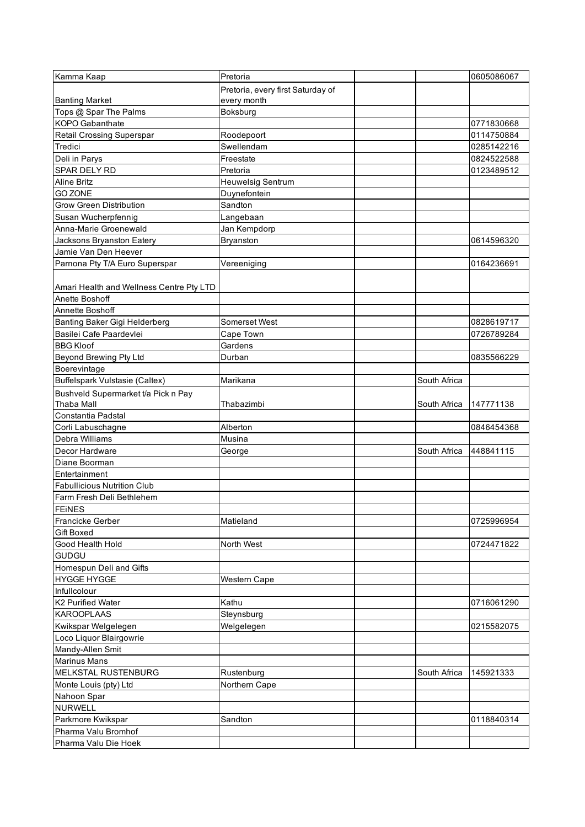| Kamma Kaap                               | Pretoria                          |              | 0605086067 |
|------------------------------------------|-----------------------------------|--------------|------------|
|                                          | Pretoria, every first Saturday of |              |            |
| <b>Banting Market</b>                    | every month                       |              |            |
| Tops @ Spar The Palms                    | Boksburg                          |              |            |
| <b>KOPO</b> Gabanthate                   |                                   |              | 0771830668 |
| Retail Crossing Superspar                | Roodepoort                        |              | 0114750884 |
| Tredici                                  | Swellendam                        |              | 0285142216 |
| Deli in Parys                            | Freestate                         |              | 0824522588 |
| SPAR DELY RD                             | Pretoria                          |              | 0123489512 |
| <b>Aline Britz</b>                       | <b>Heuwelsig Sentrum</b>          |              |            |
| <b>GO ZONE</b>                           | Duynefontein                      |              |            |
| Grow Green Distribution                  | Sandton                           |              |            |
| Susan Wucherpfennig                      | Langebaan                         |              |            |
| Anna-Marie Groenewald                    | Jan Kempdorp                      |              |            |
|                                          |                                   |              | 0614596320 |
| Jacksons Bryanston Eatery                | Bryanston                         |              |            |
| Jamie Van Den Heever                     |                                   |              |            |
| Parnona Pty T/A Euro Superspar           | Vereeniging                       |              | 0164236691 |
|                                          |                                   |              |            |
| Amari Health and Wellness Centre Pty LTD |                                   |              |            |
| Anette Boshoff                           |                                   |              |            |
| Annette Boshoff                          |                                   |              |            |
| Banting Baker Gigi Helderberg            | <b>Somerset West</b>              |              | 0828619717 |
| Basilei Cafe Paardevlei                  | Cape Town                         |              | 0726789284 |
| <b>BBG Kloof</b>                         | Gardens                           |              |            |
| Beyond Brewing Pty Ltd                   | Durban                            |              | 0835566229 |
| Boerevintage                             |                                   |              |            |
| <b>Buffelspark Vulstasie (Caltex)</b>    | Marikana                          | South Africa |            |
| Bushveld Supermarket t/a Pick n Pay      |                                   |              |            |
| <b>Thaba Mall</b>                        | Thabazimbi                        | South Africa | 147771138  |
| Constantia Padstal                       |                                   |              |            |
| Corli Labuschagne                        | Alberton                          |              | 0846454368 |
| Debra Williams                           | Musina                            |              |            |
| Decor Hardware                           | George                            | South Africa | 448841115  |
| Diane Boorman                            |                                   |              |            |
| Entertainment                            |                                   |              |            |
| <b>Fabullicious Nutrition Club</b>       |                                   |              |            |
| Farm Fresh Deli Bethlehem                |                                   |              |            |
| <b>FEINES</b>                            |                                   |              |            |
| Francicke Gerber                         | Matieland                         |              | 0725996954 |
| Gift Boxed                               |                                   |              |            |
| Good Health Hold                         | North West                        |              | 0724471822 |
| <b>GUDGU</b>                             |                                   |              |            |
| Homespun Deli and Gifts                  |                                   |              |            |
| <b>HYGGE HYGGE</b>                       | <b>Western Cape</b>               |              |            |
| Infullcolour                             |                                   |              |            |
| K2 Purified Water                        | Kathu                             |              | 0716061290 |
| <b>KAROOPLAAS</b>                        | Steynsburg                        |              |            |
|                                          |                                   |              |            |
| Kwikspar Welgelegen                      | Welgelegen                        |              | 0215582075 |
| Loco Liquor Blairgowrie                  |                                   |              |            |
| Mandy-Allen Smit                         |                                   |              |            |
| <b>Marinus Mans</b>                      |                                   |              |            |
| MELKSTAL RUSTENBURG                      | Rustenburg                        | South Africa | 145921333  |
| Monte Louis (pty) Ltd                    | Northern Cape                     |              |            |
| Nahoon Spar                              |                                   |              |            |
| <b>NURWELL</b>                           |                                   |              |            |
| Parkmore Kwikspar                        | Sandton                           |              | 0118840314 |
| Pharma Valu Bromhof                      |                                   |              |            |
| Pharma Valu Die Hoek                     |                                   |              |            |